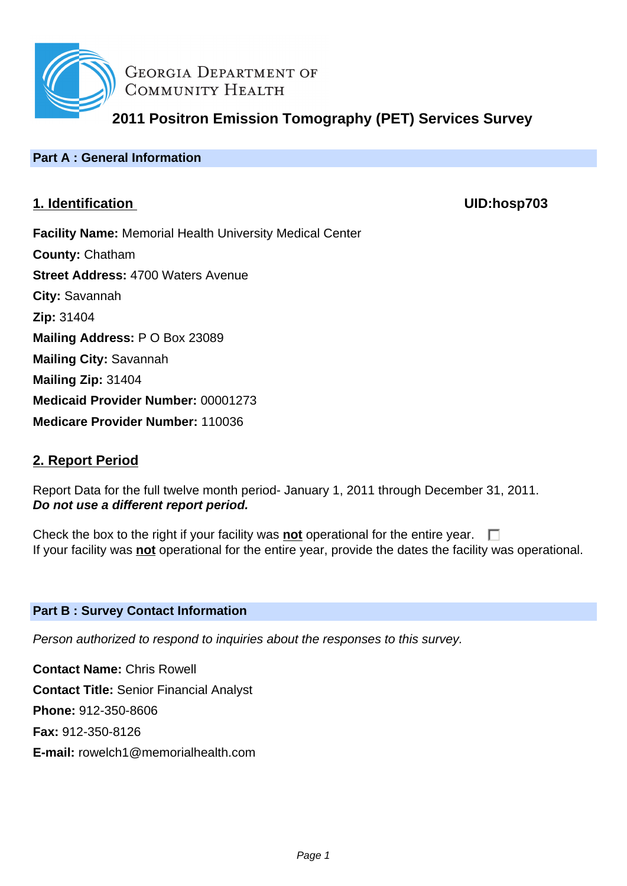

**GEORGIA DEPARTMENT OF** COMMUNITY HEALTH

**2011 Positron Emission Tomography (PET) Services Survey**

# **Part A : General Information**

# **1. Identification UID:hosp703**

**Facility Name:** Memorial Health University Medical Center **County:** Chatham **Street Address:** 4700 Waters Avenue **City:** Savannah **Zip:** 31404 **Mailing Address:** P O Box 23089 **Mailing City:** Savannah **Mailing Zip:** 31404 **Medicaid Provider Number:** 00001273 **Medicare Provider Number:** 110036

# **2. Report Period**

Report Data for the full twelve month period- January 1, 2011 through December 31, 2011. **Do not use a different report period.**

Check the box to the right if your facility was **not** operational for the entire year.  $\Box$ If your facility was **not** operational for the entire year, provide the dates the facility was operational.

# **Part B : Survey Contact Information**

Person authorized to respond to inquiries about the responses to this survey.

**Contact Name:** Chris Rowell **Contact Title:** Senior Financial Analyst **Phone:** 912-350-8606 **Fax:** 912-350-8126 **E-mail:** rowelch1@memorialhealth.com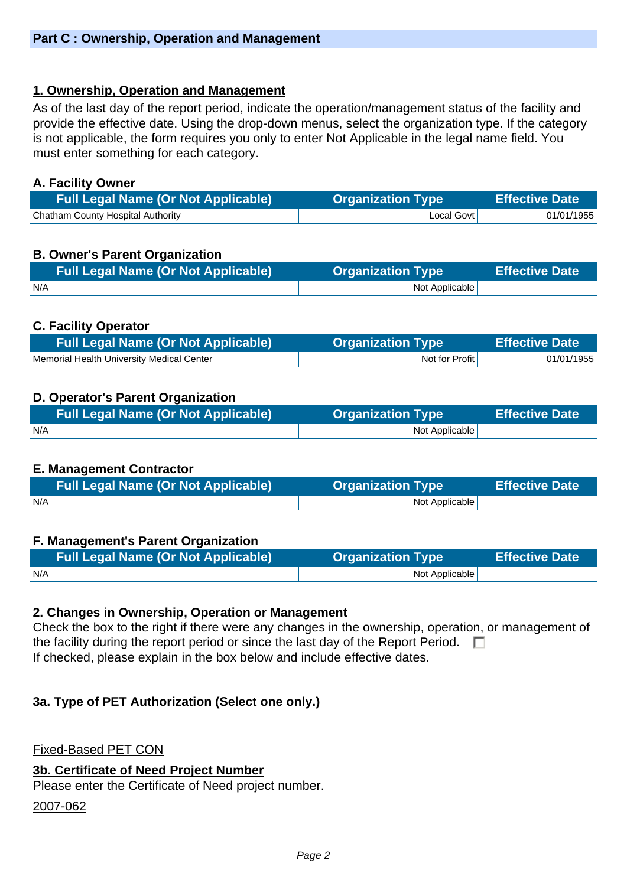# **1. Ownership, Operation and Management**

As of the last day of the report period, indicate the operation/management status of the facility and provide the effective date. Using the drop-down menus, select the organization type. If the category is not applicable, the form requires you only to enter Not Applicable in the legal name field. You must enter something for each category.

#### **A. Facility Owner**

| <b>Full Legal Name (Or Not Applicable)</b> | <b>Organization Type</b> | Effective Date |
|--------------------------------------------|--------------------------|----------------|
| <b>Chatham County Hospital Authority</b>   | Local Govt l             | 01/01/1955     |

# **B. Owner's Parent Organization**

| <b>Full Legal Name (Or Not Applicable)</b> | <b>Organization Type</b> | <b>Effective Date</b> |
|--------------------------------------------|--------------------------|-----------------------|
| I N/A                                      | Not Applicable           |                       |

# **C. Facility Operator**

| <b>Full Legal Name (Or Not Applicable)</b> | <b>Organization Type</b> | <b>Effective Date</b> |
|--------------------------------------------|--------------------------|-----------------------|
| Memorial Health University Medical Center  | Not for Profit           | 01/01/1955            |

# **D. Operator's Parent Organization**

| <b>Full Legal Name (Or Not Applicable)</b> | <b>Organization Type</b> | <b>Effective Date</b> |
|--------------------------------------------|--------------------------|-----------------------|
| I N/A                                      | Not Applicable           |                       |

#### **E. Management Contractor**

| <b>Full Legal Name (Or Not Applicable)</b> | <b>Organization Type</b> | <b>Effective Date</b> |
|--------------------------------------------|--------------------------|-----------------------|
| IN/A                                       | Not Applicable           |                       |

#### **F. Management's Parent Organization**

| <b>Full Legal Name (Or Not Applicable)</b> | <b>Organization Type</b> | <b>Effective Date</b> |
|--------------------------------------------|--------------------------|-----------------------|
| N/A                                        | Not Applicable           |                       |

#### **2. Changes in Ownership, Operation or Management**

Check the box to the right if there were any changes in the ownership, operation, or management of the facility during the report period or since the last day of the Report Period.  $\Box$ If checked, please explain in the box below and include effective dates.

# **3a. Type of PET Authorization (Select one only.)**

Fixed-Based PET CON

#### **3b. Certificate of Need Project Number**

Please enter the Certificate of Need project number.

2007-062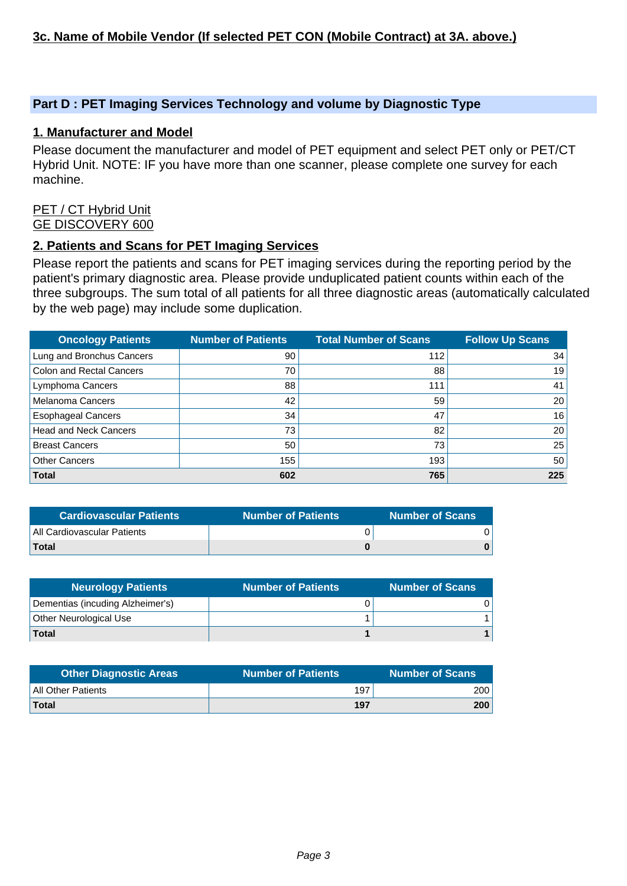#### **Part D : PET Imaging Services Technology and volume by Diagnostic Type**

#### **1. Manufacturer and Model**

Please document the manufacturer and model of PET equipment and select PET only or PET/CT Hybrid Unit. NOTE: IF you have more than one scanner, please complete one survey for each machine.

#### PET / CT Hybrid Unit GE DISCOVERY 600

#### **2. Patients and Scans for PET Imaging Services**

Please report the patients and scans for PET imaging services during the reporting period by the patient's primary diagnostic area. Please provide unduplicated patient counts within each of the three subgroups. The sum total of all patients for all three diagnostic areas (automatically calculated by the web page) may include some duplication.

| <b>Oncology Patients</b>        | <b>Number of Patients</b> | <b>Total Number of Scans</b> | <b>Follow Up Scans</b> |
|---------------------------------|---------------------------|------------------------------|------------------------|
| Lung and Bronchus Cancers       | 90                        | 112                          | 34                     |
| <b>Colon and Rectal Cancers</b> | 70                        | 88                           | 19                     |
| Lymphoma Cancers                | 88                        | 111                          | 41                     |
| <b>Melanoma Cancers</b>         | 42                        | 59                           | 20                     |
| <b>Esophageal Cancers</b>       | 34                        | 47                           | 16                     |
| <b>Head and Neck Cancers</b>    | 73                        | 82                           | 20                     |
| <b>Breast Cancers</b>           | 50                        | 73                           | 25                     |
| <b>Other Cancers</b>            | 155                       | 193                          | 50                     |
| <b>Total</b>                    | 602                       | 765                          | 225                    |

| <b>Cardiovascular Patients</b> | <b>Number of Patients</b> | <b>Number of Scans</b> |
|--------------------------------|---------------------------|------------------------|
| All Cardiovascular Patients    |                           |                        |
| <b>Total</b>                   |                           |                        |

| <b>Neurology Patients</b>        | <b>Number of Patients</b> | <b>Number of Scans</b> |
|----------------------------------|---------------------------|------------------------|
| Dementias (incuding Alzheimer's) |                           |                        |
| Other Neurological Use           |                           |                        |
| Total                            |                           |                        |

| <b>Other Diagnostic Areas</b> | Number of Patients \ | <b>Number of Scans</b> |
|-------------------------------|----------------------|------------------------|
| <b>All Other Patients</b>     | 197                  | 200                    |
| <b>Total</b>                  | 197                  | 200                    |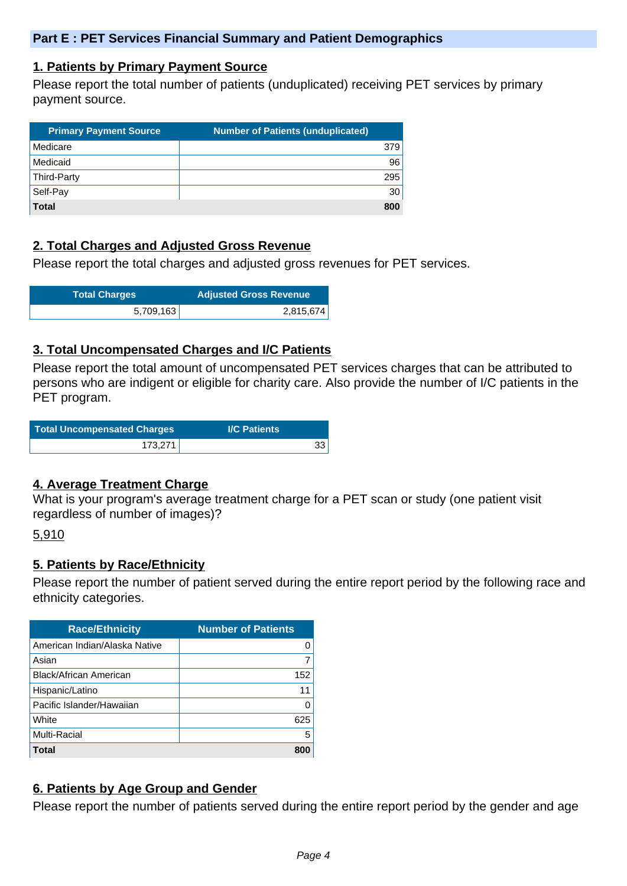#### **1. Patients by Primary Payment Source**

Please report the total number of patients (unduplicated) receiving PET services by primary payment source.

| <b>Primary Payment Source</b> | <b>Number of Patients (unduplicated)</b> |
|-------------------------------|------------------------------------------|
| Medicare                      | 379                                      |
| Medicaid                      | 96                                       |
| Third-Party                   | 295                                      |
| Self-Pay                      | 30                                       |
| <b>Total</b>                  | 800                                      |

# **2. Total Charges and Adjusted Gross Revenue**

Please report the total charges and adjusted gross revenues for PET services.

| <b>Total Charges</b> | <b>Adjusted Gross Revenue</b> |
|----------------------|-------------------------------|
| 5,709,163            | 2,815,674                     |

#### **3. Total Uncompensated Charges and I/C Patients**

Please report the total amount of uncompensated PET services charges that can be attributed to persons who are indigent or eligible for charity care. Also provide the number of I/C patients in the PET program.

| Total Uncompensated Charges | <b>I/C Patients</b> |
|-----------------------------|---------------------|
| $173,271_1$                 |                     |

#### **4. Average Treatment Charge**

What is your program's average treatment charge for a PET scan or study (one patient visit regardless of number of images)?

5,910

#### **5. Patients by Race/Ethnicity**

Please report the number of patient served during the entire report period by the following race and ethnicity categories.

| <b>Race/Ethnicity</b>         | <b>Number of Patients</b> |
|-------------------------------|---------------------------|
| American Indian/Alaska Native | 0                         |
| Asian                         | 7                         |
| <b>Black/African American</b> | 152                       |
| Hispanic/Latino               | 11                        |
| Pacific Islander/Hawaiian     | O                         |
| White                         | 625                       |
| Multi-Racial                  | 5                         |
| Total                         | 800                       |

#### **6. Patients by Age Group and Gender**

Please report the number of patients served during the entire report period by the gender and age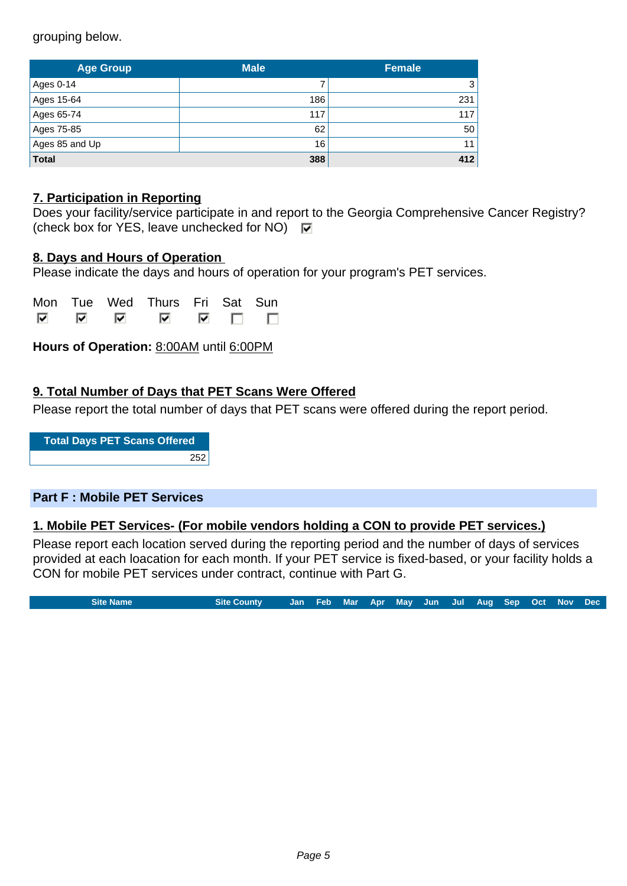grouping below.

| <b>Age Group</b> | <b>Male</b> | <b>Female</b> |  |
|------------------|-------------|---------------|--|
| Ages 0-14        |             | 3             |  |
| Ages 15-64       | 186         | 231           |  |
| Ages 65-74       | 117         | 117           |  |
| Ages 75-85       | 62          | 50            |  |
| Ages 85 and Up   | 16          | 11            |  |
| <b>Total</b>     | 388         | 412           |  |

### **7. Participation in Reporting**

|                                                                     | Does your facility/service participate in and report to the Georgia Comprehensive Cancer Registry? |
|---------------------------------------------------------------------|----------------------------------------------------------------------------------------------------|
| (check box for YES, leave unchecked for NO) $\overline{\mathbf{v}}$ |                                                                                                    |

#### **8. Days and Hours of Operation**

Please indicate the days and hours of operation for your program's PET services.

|     |    | Mon Tue Wed Thurs Fri Sat Sun |  |                |
|-----|----|-------------------------------|--|----------------|
| ल ल | ार | ᢊ                             |  | $\blacksquare$ |

**Hours of Operation:** 8:00AM until 6:00PM

# **9. Total Number of Days that PET Scans Were Offered**

Please report the total number of days that PET scans were offered during the report period.

**Total Days PET Scans Offered** 252

#### **Part F : Mobile PET Services**

#### **1. Mobile PET Services- (For mobile vendors holding a CON to provide PET services.)**

Please report each location served during the reporting period and the number of days of services provided at each loacation for each month. If your PET service is fixed-based, or your facility holds a CON for mobile PET services under contract, continue with Part G.

**Site Name Site County Jan Feb Mar Apr May Jun Jul Aug Sep Oct Nov Dec**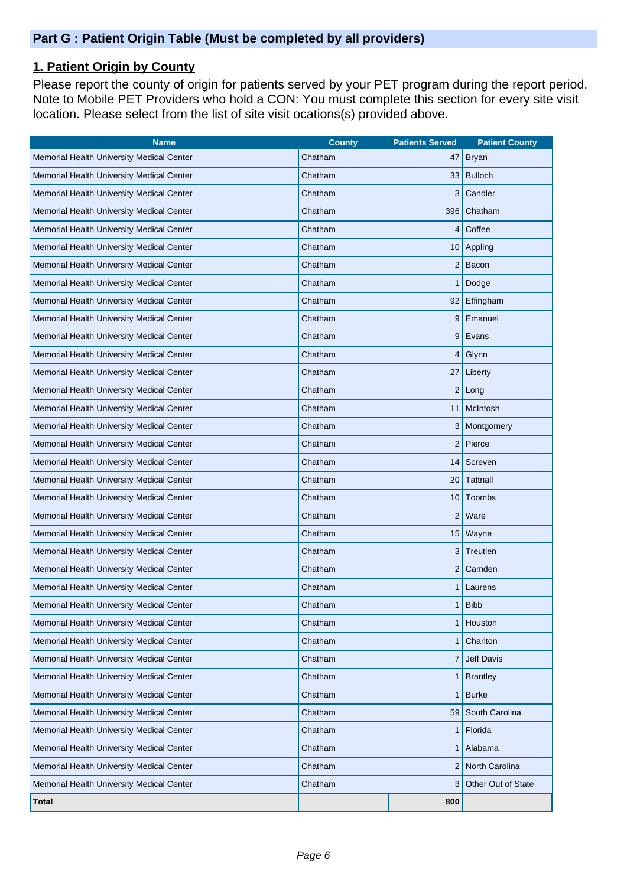# **1. Patient Origin by County**

Please report the county of origin for patients served by your PET program during the report period. Note to Mobile PET Providers who hold a CON: You must complete this section for every site visit location. Please select from the list of site visit ocations(s) provided above.

| <b>Name</b>                               | <b>County</b> | <b>Patients Served</b> | <b>Patient County</b> |
|-------------------------------------------|---------------|------------------------|-----------------------|
| Memorial Health University Medical Center | Chatham       | 47                     | Bryan                 |
| Memorial Health University Medical Center | Chatham       |                        | 33 Bulloch            |
| Memorial Health University Medical Center | Chatham       | 3                      | Candler               |
| Memorial Health University Medical Center | Chatham       | 396                    | Chatham               |
| Memorial Health University Medical Center | Chatham       | 4                      | Coffee                |
| Memorial Health University Medical Center | Chatham       | 10                     | Appling               |
| Memorial Health University Medical Center | Chatham       | $\overline{c}$         | Bacon                 |
| Memorial Health University Medical Center | Chatham       |                        | Dodge                 |
| Memorial Health University Medical Center | Chatham       | 92                     | Effingham             |
| Memorial Health University Medical Center | Chatham       | 9                      | Emanuel               |
| Memorial Health University Medical Center | Chatham       | 9                      | Evans                 |
| Memorial Health University Medical Center | Chatham       | 4                      | Glynn                 |
| Memorial Health University Medical Center | Chatham       | 27                     | Liberty               |
| Memorial Health University Medical Center | Chatham       | 2                      | Long                  |
| Memorial Health University Medical Center | Chatham       | 11                     | McIntosh              |
| Memorial Health University Medical Center | Chatham       | 3                      | Montgomery            |
| Memorial Health University Medical Center | Chatham       | $\overline{2}$         | Pierce                |
| Memorial Health University Medical Center | Chatham       | 14                     | Screven               |
| Memorial Health University Medical Center | Chatham       | 20                     | Tattnall              |
| Memorial Health University Medical Center | Chatham       | 10                     | Toombs                |
| Memorial Health University Medical Center | Chatham       | $\overline{c}$         | Ware                  |
| Memorial Health University Medical Center | Chatham       |                        | 15   Wayne            |
| Memorial Health University Medical Center | Chatham       | 3                      | Treutlen              |
| Memorial Health University Medical Center | Chatham       | $\overline{c}$         | Camden                |
| Memorial Health University Medical Center | Chatham       | 1                      | Laurens               |
| Memorial Health University Medical Center | Chatham       | 1                      | <b>Bibb</b>           |
| Memorial Health University Medical Center | Chatham       | 1                      | Houston               |
| Memorial Health University Medical Center | Chatham       | 1                      | Charlton              |
| Memorial Health University Medical Center | Chatham       | 7                      | Jeff Davis            |
| Memorial Health University Medical Center | Chatham       | 1                      | <b>Brantley</b>       |
| Memorial Health University Medical Center | Chatham       | 1                      | <b>Burke</b>          |
| Memorial Health University Medical Center | Chatham       | 59                     | South Carolina        |
| Memorial Health University Medical Center | Chatham       | 1                      | Florida               |
| Memorial Health University Medical Center | Chatham       | 1                      | Alabama               |
| Memorial Health University Medical Center | Chatham       | 2                      | North Carolina        |
| Memorial Health University Medical Center | Chatham       | 3                      | Other Out of State    |
| <b>Total</b>                              |               | 800                    |                       |